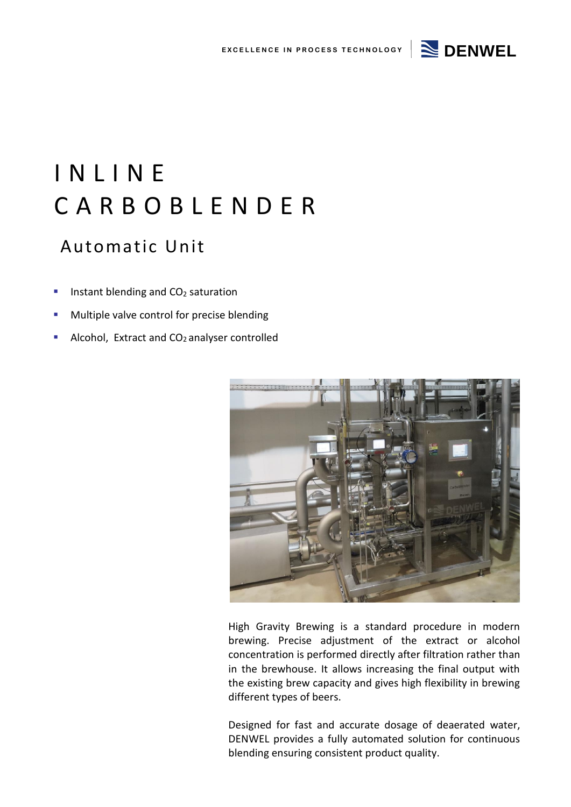### **EXCELLENCE IN PROCESS TECHNOLOGY**  $\geq$  **DENWEL**



# I N L I N E C A R B O B L E N D E R

### Automatic Unit

- Instant blending and  $CO<sub>2</sub>$  saturation
- Multiple valve control for precise blending
- Alcohol, Extract and  $CO<sub>2</sub>$  analyser controlled



High Gravity Brewing is a standard procedure in modern brewing. Precise adjustment of the extract or alcohol concentration is performed directly after filtration rather than in the brewhouse. It allows increasing the final output with the existing brew capacity and gives high flexibility in brewing different types of beers.

Designed for fast and accurate dosage of deaerated water, DENWEL provides a fully automated solution for continuous blending ensuring consistent product quality.